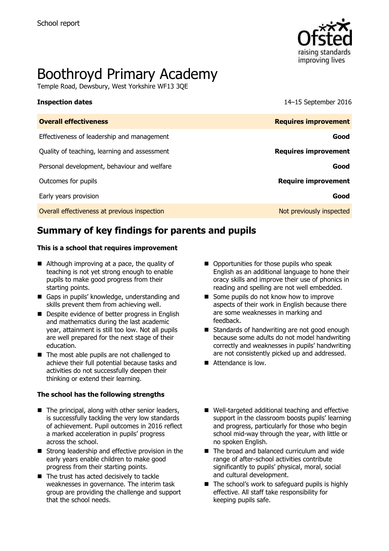

# Boothroyd Primary Academy

Temple Road, Dewsbury, West Yorkshire WF13 3QE

**Inspection dates** 14–15 September 2016

| <b>Overall effectiveness</b>                 | <b>Requires improvement</b> |
|----------------------------------------------|-----------------------------|
| Effectiveness of leadership and management   | Good                        |
| Quality of teaching, learning and assessment | <b>Requires improvement</b> |
| Personal development, behaviour and welfare  | Good                        |
| Outcomes for pupils                          | <b>Require improvement</b>  |
| Early years provision                        | Good                        |
| Overall effectiveness at previous inspection | Not previously inspected    |

# **Summary of key findings for parents and pupils**

#### **This is a school that requires improvement**

- Although improving at a pace, the quality of teaching is not yet strong enough to enable pupils to make good progress from their starting points.
- Gaps in pupils' knowledge, understanding and skills prevent them from achieving well.
- Despite evidence of better progress in English and mathematics during the last academic year, attainment is still too low. Not all pupils are well prepared for the next stage of their education.
- The most able pupils are not challenged to achieve their full potential because tasks and activities do not successfully deepen their thinking or extend their learning.

#### **The school has the following strengths**

- $\blacksquare$  The principal, along with other senior leaders, is successfully tackling the very low standards of achievement. Pupil outcomes in 2016 reflect a marked acceleration in pupils' progress across the school.
- Strong leadership and effective provision in the early years enable children to make good progress from their starting points.
- The trust has acted decisively to tackle weaknesses in governance. The interim task group are providing the challenge and support that the school needs.
- Opportunities for those pupils who speak English as an additional language to hone their oracy skills and improve their use of phonics in reading and spelling are not well embedded.
- Some pupils do not know how to improve aspects of their work in English because there are some weaknesses in marking and feedback.
- Standards of handwriting are not good enough because some adults do not model handwriting correctly and weaknesses in pupils' handwriting are not consistently picked up and addressed.
- Attendance is low.
- Well-targeted additional teaching and effective support in the classroom boosts pupils' learning and progress, particularly for those who begin school mid-way through the year, with little or no spoken English.
- The broad and balanced curriculum and wide range of after-school activities contribute significantly to pupils' physical, moral, social and cultural development.
- $\blacksquare$  The school's work to safeguard pupils is highly effective. All staff take responsibility for keeping pupils safe.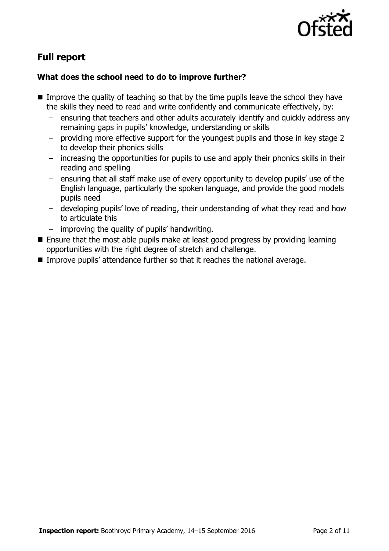

# **Full report**

### **What does the school need to do to improve further?**

- Improve the quality of teaching so that by the time pupils leave the school they have the skills they need to read and write confidently and communicate effectively, by:
	- ensuring that teachers and other adults accurately identify and quickly address any remaining gaps in pupils' knowledge, understanding or skills
	- providing more effective support for the youngest pupils and those in key stage 2 to develop their phonics skills
	- increasing the opportunities for pupils to use and apply their phonics skills in their reading and spelling
	- ensuring that all staff make use of every opportunity to develop pupils' use of the English language, particularly the spoken language, and provide the good models pupils need
	- developing pupils' love of reading, their understanding of what they read and how to articulate this
	- improving the quality of pupils' handwriting.
- Ensure that the most able pupils make at least good progress by providing learning opportunities with the right degree of stretch and challenge.
- Improve pupils' attendance further so that it reaches the national average.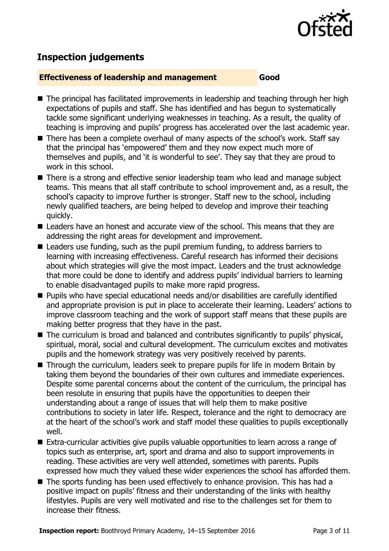

# **Inspection judgements**

#### **Effectiveness of leadership and management Good**

- The principal has facilitated improvements in leadership and teaching through her high expectations of pupils and staff. She has identified and has begun to systematically tackle some significant underlying weaknesses in teaching. As a result, the quality of teaching is improving and pupils' progress has accelerated over the last academic year.
- There has been a complete overhaul of many aspects of the school's work. Staff say that the principal has 'empowered' them and they now expect much more of themselves and pupils, and 'it is wonderful to see'. They say that they are proud to work in this school.
- There is a strong and effective senior leadership team who lead and manage subject teams. This means that all staff contribute to school improvement and, as a result, the school's capacity to improve further is stronger. Staff new to the school, including newly qualified teachers, are being helped to develop and improve their teaching quickly.
- Leaders have an honest and accurate view of the school. This means that they are addressing the right areas for development and improvement.
- Leaders use funding, such as the pupil premium funding, to address barriers to learning with increasing effectiveness. Careful research has informed their decisions about which strategies will give the most impact. Leaders and the trust acknowledge that more could be done to identify and address pupils' individual barriers to learning to enable disadvantaged pupils to make more rapid progress.
- Pupils who have special educational needs and/or disabilities are carefully identified and appropriate provision is put in place to accelerate their learning. Leaders' actions to improve classroom teaching and the work of support staff means that these pupils are making better progress that they have in the past.
- The curriculum is broad and balanced and contributes significantly to pupils' physical, spiritual, moral, social and cultural development. The curriculum excites and motivates pupils and the homework strategy was very positively received by parents.
- Through the curriculum, leaders seek to prepare pupils for life in modern Britain by taking them beyond the boundaries of their own cultures and immediate experiences. Despite some parental concerns about the content of the curriculum, the principal has been resolute in ensuring that pupils have the opportunities to deepen their understanding about a range of issues that will help them to make positive contributions to society in later life. Respect, tolerance and the right to democracy are at the heart of the school's work and staff model these qualities to pupils exceptionally well.
- Extra-curricular activities give pupils valuable opportunities to learn across a range of topics such as enterprise, art, sport and drama and also to support improvements in reading. These activities are very well attended, sometimes with parents. Pupils expressed how much they valued these wider experiences the school has afforded them.
- The sports funding has been used effectively to enhance provision. This has had a positive impact on pupils' fitness and their understanding of the links with healthy lifestyles. Pupils are very well motivated and rise to the challenges set for them to increase their fitness.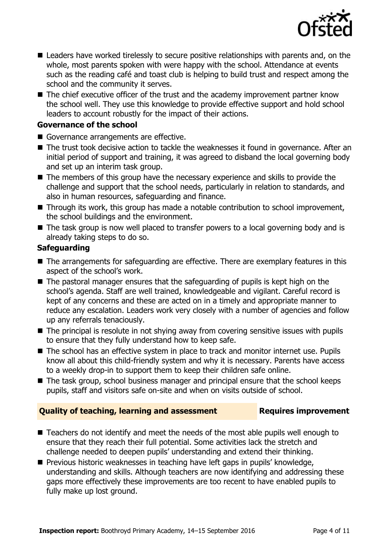

- Leaders have worked tirelessly to secure positive relationships with parents and, on the whole, most parents spoken with were happy with the school. Attendance at events such as the reading café and toast club is helping to build trust and respect among the school and the community it serves.
- The chief executive officer of the trust and the academy improvement partner know the school well. They use this knowledge to provide effective support and hold school leaders to account robustly for the impact of their actions.

### **Governance of the school**

- Governance arrangements are effective.
- The trust took decisive action to tackle the weaknesses it found in governance. After an initial period of support and training, it was agreed to disband the local governing body and set up an interim task group.
- The members of this group have the necessary experience and skills to provide the challenge and support that the school needs, particularly in relation to standards, and also in human resources, safeguarding and finance.
- Through its work, this group has made a notable contribution to school improvement, the school buildings and the environment.
- The task group is now well placed to transfer powers to a local governing body and is already taking steps to do so.

### **Safeguarding**

- The arrangements for safeguarding are effective. There are exemplary features in this aspect of the school's work.
- The pastoral manager ensures that the safeguarding of pupils is kept high on the school's agenda. Staff are well trained, knowledgeable and vigilant. Careful record is kept of any concerns and these are acted on in a timely and appropriate manner to reduce any escalation. Leaders work very closely with a number of agencies and follow up any referrals tenaciously.
- The principal is resolute in not shying away from covering sensitive issues with pupils to ensure that they fully understand how to keep safe.
- The school has an effective system in place to track and monitor internet use. Pupils know all about this child-friendly system and why it is necessary. Parents have access to a weekly drop-in to support them to keep their children safe online.
- The task group, school business manager and principal ensure that the school keeps pupils, staff and visitors safe on-site and when on visits outside of school.

### **Quality of teaching, learning and assessment France Requires improvement**

- Teachers do not identify and meet the needs of the most able pupils well enough to ensure that they reach their full potential. Some activities lack the stretch and challenge needed to deepen pupils' understanding and extend their thinking.
- **Previous historic weaknesses in teaching have left gaps in pupils' knowledge,** understanding and skills. Although teachers are now identifying and addressing these gaps more effectively these improvements are too recent to have enabled pupils to fully make up lost ground.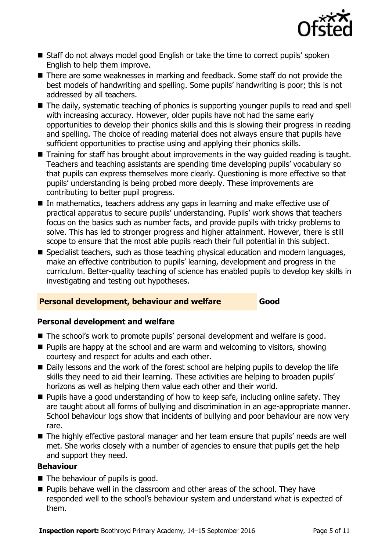

- Staff do not always model good English or take the time to correct pupils' spoken English to help them improve.
- There are some weaknesses in marking and feedback. Some staff do not provide the best models of handwriting and spelling. Some pupils' handwriting is poor; this is not addressed by all teachers.
- The daily, systematic teaching of phonics is supporting younger pupils to read and spell with increasing accuracy. However, older pupils have not had the same early opportunities to develop their phonics skills and this is slowing their progress in reading and spelling. The choice of reading material does not always ensure that pupils have sufficient opportunities to practise using and applying their phonics skills.
- Training for staff has brought about improvements in the way quided reading is taught. Teachers and teaching assistants are spending time developing pupils' vocabulary so that pupils can express themselves more clearly. Questioning is more effective so that pupils' understanding is being probed more deeply. These improvements are contributing to better pupil progress.
- In mathematics, teachers address any gaps in learning and make effective use of practical apparatus to secure pupils' understanding. Pupils' work shows that teachers focus on the basics such as number facts, and provide pupils with tricky problems to solve. This has led to stronger progress and higher attainment. However, there is still scope to ensure that the most able pupils reach their full potential in this subject.
- Specialist teachers, such as those teaching physical education and modern languages, make an effective contribution to pupils' learning, development and progress in the curriculum. Better-quality teaching of science has enabled pupils to develop key skills in investigating and testing out hypotheses.

### **Personal development, behaviour and welfare <b>Good**

### **Personal development and welfare**

- The school's work to promote pupils' personal development and welfare is good.
- **Pupils are happy at the school and are warm and welcoming to visitors, showing** courtesy and respect for adults and each other.
- Daily lessons and the work of the forest school are helping pupils to develop the life skills they need to aid their learning. These activities are helping to broaden pupils' horizons as well as helping them value each other and their world.
- **Pupils have a good understanding of how to keep safe, including online safety. They** are taught about all forms of bullying and discrimination in an age-appropriate manner. School behaviour logs show that incidents of bullying and poor behaviour are now very rare.
- The highly effective pastoral manager and her team ensure that pupils' needs are well met. She works closely with a number of agencies to ensure that pupils get the help and support they need.

#### **Behaviour**

- The behaviour of pupils is good.
- **Pupils behave well in the classroom and other areas of the school. They have** responded well to the school's behaviour system and understand what is expected of them.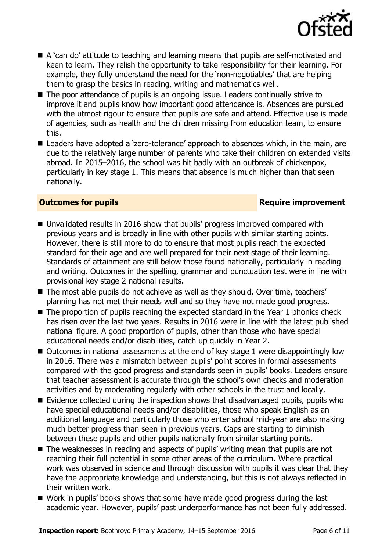

- A 'can do' attitude to teaching and learning means that pupils are self-motivated and keen to learn. They relish the opportunity to take responsibility for their learning. For example, they fully understand the need for the 'non-negotiables' that are helping them to grasp the basics in reading, writing and mathematics well.
- The poor attendance of pupils is an ongoing issue. Leaders continually strive to improve it and pupils know how important good attendance is. Absences are pursued with the utmost rigour to ensure that pupils are safe and attend. Effective use is made of agencies, such as health and the children missing from education team, to ensure this.
- Leaders have adopted a 'zero-tolerance' approach to absences which, in the main, are due to the relatively large number of parents who take their children on extended visits abroad. In 2015–2016, the school was hit badly with an outbreak of chickenpox, particularly in key stage 1. This means that absence is much higher than that seen nationally.

### **Outcomes for pupils Require improvement**

- Unvalidated results in 2016 show that pupils' progress improved compared with previous years and is broadly in line with other pupils with similar starting points. However, there is still more to do to ensure that most pupils reach the expected standard for their age and are well prepared for their next stage of their learning. Standards of attainment are still below those found nationally, particularly in reading and writing. Outcomes in the spelling, grammar and punctuation test were in line with provisional key stage 2 national results.
- The most able pupils do not achieve as well as they should. Over time, teachers' planning has not met their needs well and so they have not made good progress.
- $\blacksquare$  The proportion of pupils reaching the expected standard in the Year 1 phonics check has risen over the last two years. Results in 2016 were in line with the latest published national figure. A good proportion of pupils, other than those who have special educational needs and/or disabilities, catch up quickly in Year 2.
- Outcomes in national assessments at the end of key stage 1 were disappointingly low in 2016. There was a mismatch between pupils' point scores in formal assessments compared with the good progress and standards seen in pupils' books. Leaders ensure that teacher assessment is accurate through the school's own checks and moderation activities and by moderating regularly with other schools in the trust and locally.
- $\blacksquare$  Evidence collected during the inspection shows that disadvantaged pupils, pupils who have special educational needs and/or disabilities, those who speak English as an additional language and particularly those who enter school mid-year are also making much better progress than seen in previous years. Gaps are starting to diminish between these pupils and other pupils nationally from similar starting points.
- The weaknesses in reading and aspects of pupils' writing mean that pupils are not reaching their full potential in some other areas of the curriculum. Where practical work was observed in science and through discussion with pupils it was clear that they have the appropriate knowledge and understanding, but this is not always reflected in their written work.
- Work in pupils' books shows that some have made good progress during the last academic year. However, pupils' past underperformance has not been fully addressed.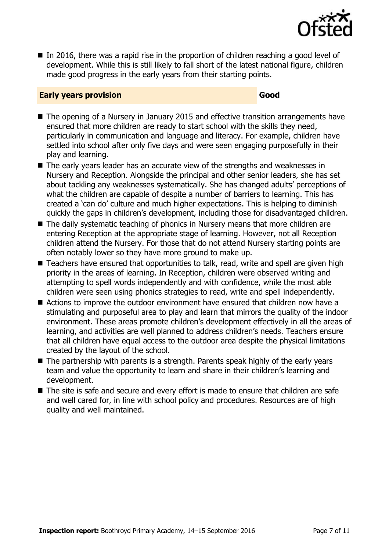

 $\blacksquare$  In 2016, there was a rapid rise in the proportion of children reaching a good level of development. While this is still likely to fall short of the latest national figure, children made good progress in the early years from their starting points.

#### **Early years provision Good Good**

- The opening of a Nursery in January 2015 and effective transition arrangements have ensured that more children are ready to start school with the skills they need, particularly in communication and language and literacy. For example, children have settled into school after only five days and were seen engaging purposefully in their play and learning.
- The early years leader has an accurate view of the strengths and weaknesses in Nursery and Reception. Alongside the principal and other senior leaders, she has set about tackling any weaknesses systematically. She has changed adults' perceptions of what the children are capable of despite a number of barriers to learning. This has created a 'can do' culture and much higher expectations. This is helping to diminish quickly the gaps in children's development, including those for disadvantaged children.
- The daily systematic teaching of phonics in Nursery means that more children are entering Reception at the appropriate stage of learning. However, not all Reception children attend the Nursery. For those that do not attend Nursery starting points are often notably lower so they have more ground to make up.
- Teachers have ensured that opportunities to talk, read, write and spell are given high priority in the areas of learning. In Reception, children were observed writing and attempting to spell words independently and with confidence, while the most able children were seen using phonics strategies to read, write and spell independently.
- Actions to improve the outdoor environment have ensured that children now have a stimulating and purposeful area to play and learn that mirrors the quality of the indoor environment. These areas promote children's development effectively in all the areas of learning, and activities are well planned to address children's needs. Teachers ensure that all children have equal access to the outdoor area despite the physical limitations created by the layout of the school.
- The partnership with parents is a strength. Parents speak highly of the early years team and value the opportunity to learn and share in their children's learning and development.
- The site is safe and secure and every effort is made to ensure that children are safe and well cared for, in line with school policy and procedures. Resources are of high quality and well maintained.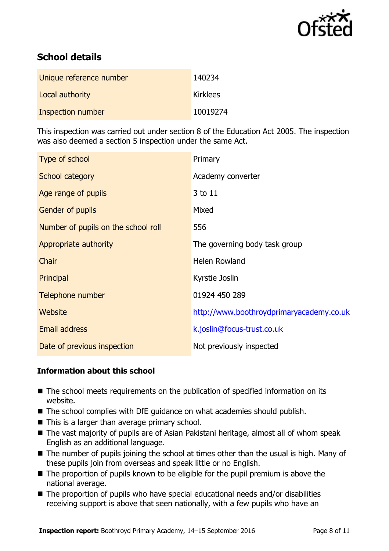

# **School details**

| Unique reference number  | 140234          |
|--------------------------|-----------------|
| Local authority          | <b>Kirklees</b> |
| <b>Inspection number</b> | 10019274        |

This inspection was carried out under section 8 of the Education Act 2005. The inspection was also deemed a section 5 inspection under the same Act.

| Type of school                      | Primary                                  |
|-------------------------------------|------------------------------------------|
| School category                     | Academy converter                        |
| Age range of pupils                 | 3 to 11                                  |
| Gender of pupils                    | Mixed                                    |
| Number of pupils on the school roll | 556                                      |
| Appropriate authority               | The governing body task group            |
| Chair                               | <b>Helen Rowland</b>                     |
| Principal                           | Kyrstie Joslin                           |
| Telephone number                    | 01924 450 289                            |
| <b>Website</b>                      | http://www.boothroydprimaryacademy.co.uk |
| <b>Email address</b>                | k.joslin@focus-trust.co.uk               |
| Date of previous inspection         | Not previously inspected                 |

### **Information about this school**

- The school meets requirements on the publication of specified information on its website.
- The school complies with DfE quidance on what academies should publish.
- $\blacksquare$  This is a larger than average primary school.
- The vast majority of pupils are of Asian Pakistani heritage, almost all of whom speak English as an additional language.
- The number of pupils joining the school at times other than the usual is high. Many of these pupils join from overseas and speak little or no English.
- $\blacksquare$  The proportion of pupils known to be eligible for the pupil premium is above the national average.
- The proportion of pupils who have special educational needs and/or disabilities receiving support is above that seen nationally, with a few pupils who have an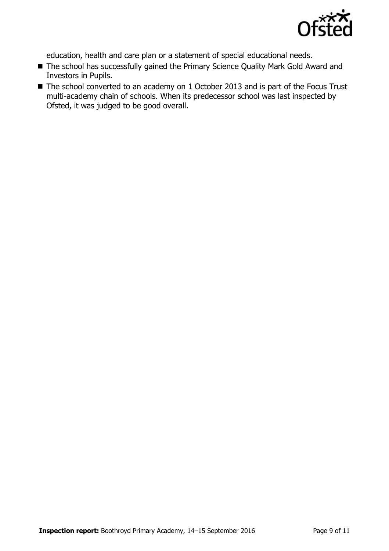

education, health and care plan or a statement of special educational needs.

- The school has successfully gained the Primary Science Quality Mark Gold Award and Investors in Pupils.
- The school converted to an academy on 1 October 2013 and is part of the Focus Trust multi-academy chain of schools. When its predecessor school was last inspected by Ofsted, it was judged to be good overall.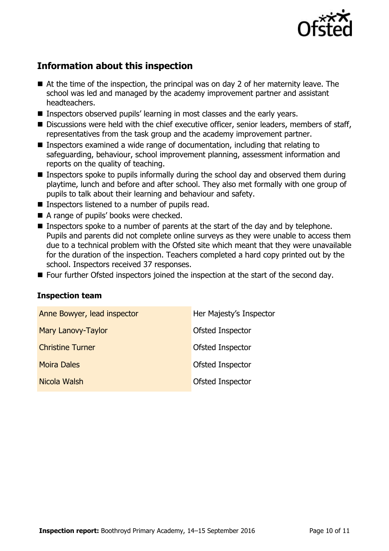

# **Information about this inspection**

- At the time of the inspection, the principal was on day 2 of her maternity leave. The school was led and managed by the academy improvement partner and assistant headteachers.
- **Inspectors observed pupils' learning in most classes and the early years.**
- Discussions were held with the chief executive officer, senior leaders, members of staff, representatives from the task group and the academy improvement partner.
- Inspectors examined a wide range of documentation, including that relating to safeguarding, behaviour, school improvement planning, assessment information and reports on the quality of teaching.
- Inspectors spoke to pupils informally during the school day and observed them during playtime, lunch and before and after school. They also met formally with one group of pupils to talk about their learning and behaviour and safety.
- Inspectors listened to a number of pupils read.
- A range of pupils' books were checked.
- Inspectors spoke to a number of parents at the start of the day and by telephone. Pupils and parents did not complete online surveys as they were unable to access them due to a technical problem with the Ofsted site which meant that they were unavailable for the duration of the inspection. Teachers completed a hard copy printed out by the school. Inspectors received 37 responses.
- Four further Ofsted inspectors joined the inspection at the start of the second day.

#### **Inspection team**

| Anne Bowyer, lead inspector | Her Majesty's Inspector |
|-----------------------------|-------------------------|
| Mary Lanovy-Taylor          | Ofsted Inspector        |
| <b>Christine Turner</b>     | Ofsted Inspector        |
| <b>Moira Dales</b>          | Ofsted Inspector        |
| Nicola Walsh                | Ofsted Inspector        |
|                             |                         |